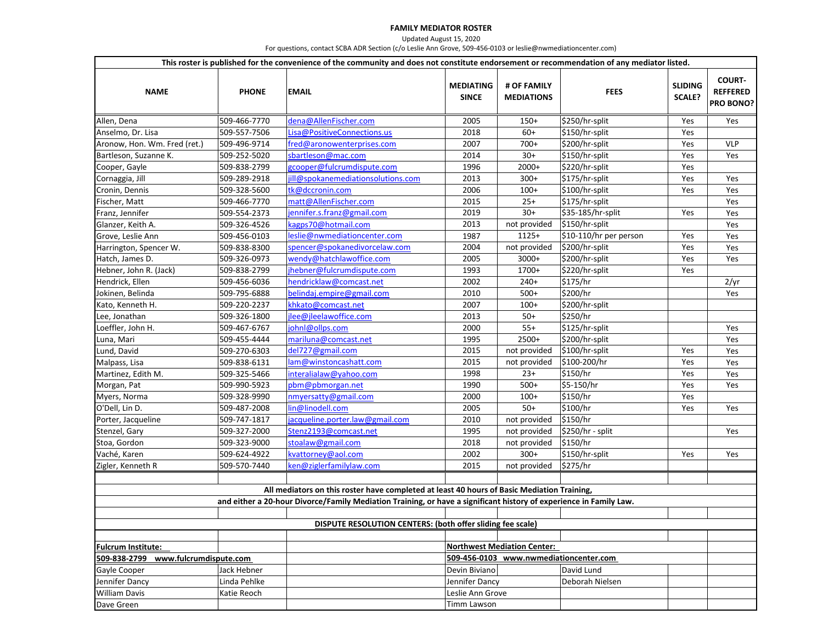## **FAMILY MEDIATOR ROSTER**

Updated August 15, 2020

For questions, contact SCBA ADR Section (c/o Leslie Ann Grove, 509-456-0103 or leslie@nwmediationcenter.com)

| This roster is published for the convenience of the community and does not constitute endorsement or recommendation of any mediator listed. |              |                                                                                                                    |                                  |                                        |                        |                          |                                               |  |  |  |  |  |
|---------------------------------------------------------------------------------------------------------------------------------------------|--------------|--------------------------------------------------------------------------------------------------------------------|----------------------------------|----------------------------------------|------------------------|--------------------------|-----------------------------------------------|--|--|--|--|--|
| <b>NAME</b>                                                                                                                                 | <b>PHONE</b> | <b>EMAIL</b>                                                                                                       | <b>MEDIATING</b><br><b>SINCE</b> | # OF FAMILY<br><b>MEDIATIONS</b>       | <b>FEES</b>            | <b>SLIDING</b><br>SCALE? | <b>COURT-</b><br><b>REFFERED</b><br>PRO BONO? |  |  |  |  |  |
| Allen, Dena                                                                                                                                 | 509-466-7770 | dena@AllenFischer.com                                                                                              | 2005                             | $150+$                                 | \$250/hr-split         | Yes                      | Yes                                           |  |  |  |  |  |
| Anselmo, Dr. Lisa                                                                                                                           | 509-557-7506 | Lisa@PositiveConnections.us                                                                                        | 2018                             | $60+$                                  | \$150/hr-split         | Yes                      |                                               |  |  |  |  |  |
| Aronow, Hon. Wm. Fred (ret.)                                                                                                                | 509-496-9714 | fred@aronowenterprises.com                                                                                         | 2007                             | $700+$                                 | \$200/hr-split         | Yes                      | <b>VLP</b>                                    |  |  |  |  |  |
| Bartleson, Suzanne K.                                                                                                                       | 509-252-5020 | sbartleson@mac.com                                                                                                 | 2014                             | $30+$                                  | \$150/hr-split         | Yes                      | Yes                                           |  |  |  |  |  |
| Cooper, Gayle                                                                                                                               | 509-838-2799 | gcooper@fulcrumdispute.com                                                                                         | 1996                             | $2000+$                                | \$220/hr-split         | Yes                      |                                               |  |  |  |  |  |
| Cornaggia, Jill                                                                                                                             | 509-289-2918 | jill@spokanemediationsolutions.com                                                                                 | 2013                             | $300+$                                 | \$175/hr-split         | Yes                      | Yes                                           |  |  |  |  |  |
| Cronin, Dennis                                                                                                                              | 509-328-5600 | tk@dccronin.com                                                                                                    | 2006                             | $100+$                                 | \$100/hr-split         | Yes                      | Yes                                           |  |  |  |  |  |
| Fischer, Matt                                                                                                                               | 509-466-7770 | matt@AllenFischer.com                                                                                              | 2015                             | $25+$                                  | $5175/hr$ -split       |                          | Yes                                           |  |  |  |  |  |
| Franz, Jennifer                                                                                                                             | 509-554-2373 | jennifer.s.franz@gmail.com                                                                                         | 2019                             | $30+$                                  | \$35-185/hr-split      | Yes                      | Yes                                           |  |  |  |  |  |
| Glanzer, Keith A.                                                                                                                           | 509-326-4526 | kagps70@hotmail.com                                                                                                | 2013                             | not provided                           | \$150/hr-split         |                          | Yes                                           |  |  |  |  |  |
| Grove, Leslie Ann                                                                                                                           | 509-456-0103 | leslie@nwmediationcenter.com                                                                                       | 1987                             | $1125+$                                | \$10-110/hr per person | Yes                      | Yes                                           |  |  |  |  |  |
| Harrington, Spencer W.                                                                                                                      | 509-838-8300 | spencer@spokanedivorcelaw.com                                                                                      | 2004                             | not provided                           | \$200/hr-split         | Yes                      | Yes                                           |  |  |  |  |  |
| Hatch, James D.                                                                                                                             | 509-326-0973 | wendy@hatchlawoffice.com                                                                                           | 2005                             | 3000+                                  | \$200/hr-split         | Yes                      | Yes                                           |  |  |  |  |  |
| Hebner, John R. (Jack)                                                                                                                      | 509-838-2799 | jhebner@fulcrumdispute.com                                                                                         | 1993                             | 1700+                                  | \$220/hr-split         | Yes                      |                                               |  |  |  |  |  |
| Hendrick, Ellen                                                                                                                             | 509-456-6036 | hendricklaw@comcast.net                                                                                            | 2002                             | $240+$                                 | \$175/hr               |                          | 2/yr                                          |  |  |  |  |  |
| Jokinen, Belinda                                                                                                                            | 509-795-6888 | belindaj.empire@gmail.com                                                                                          | 2010                             | $500+$                                 | \$200/hr               |                          | Yes                                           |  |  |  |  |  |
| Kato, Kenneth H.                                                                                                                            | 509-220-2237 | khkato@comcast.net                                                                                                 | 2007                             | $100+$                                 | \$200/hr-split         |                          |                                               |  |  |  |  |  |
| Lee, Jonathan                                                                                                                               | 509-326-1800 | jlee@jleelawoffice.com                                                                                             | 2013                             | $50+$                                  | \$250/hr               |                          |                                               |  |  |  |  |  |
| Loeffler, John H.                                                                                                                           | 509-467-6767 | johnl@ollps.com                                                                                                    | 2000                             | $55+$                                  | \$125/hr-split         |                          | Yes                                           |  |  |  |  |  |
| Luna, Mari                                                                                                                                  | 509-455-4444 | mariluna@comcast.net                                                                                               | 1995                             | 2500+                                  | \$200/hr-split         |                          | Yes                                           |  |  |  |  |  |
| Lund, David                                                                                                                                 | 509-270-6303 | del727@gmail.com                                                                                                   | 2015                             | not provided                           | \$100/hr-split         | Yes                      | Yes                                           |  |  |  |  |  |
| Malpass, Lisa                                                                                                                               | 509-838-6131 | lam@winstoncashatt.com                                                                                             | 2015                             | not provided                           | \$100-200/hr           | Yes                      | Yes                                           |  |  |  |  |  |
| Martinez, Edith M.                                                                                                                          | 509-325-5466 | interalialaw@yahoo.com                                                                                             | 1998                             | $23+$                                  | \$150/hr               | Yes                      | Yes                                           |  |  |  |  |  |
| Morgan, Pat                                                                                                                                 | 509-990-5923 | pbm@pbmorgan.net                                                                                                   | 1990                             | $500+$                                 | \$5-150/hr             | Yes                      | Yes                                           |  |  |  |  |  |
| Myers, Norma                                                                                                                                | 509-328-9990 | nmyersatty@gmail.com                                                                                               | 2000                             | $100+$                                 | \$150/hr               | Yes                      |                                               |  |  |  |  |  |
| O'Dell, Lin D.                                                                                                                              | 509-487-2008 | lin@linodell.com                                                                                                   | 2005                             | $50+$                                  | \$100/hr               | Yes                      | Yes                                           |  |  |  |  |  |
| Porter, Jacqueline                                                                                                                          | 509-747-1817 | jacqueline.porter.law@gmail.com                                                                                    | 2010                             | not provided                           | \$150/hr               |                          |                                               |  |  |  |  |  |
| Stenzel, Gary                                                                                                                               | 509-327-2000 | Stenz2193@comcast.net                                                                                              | 1995                             | not provided                           | \$250/hr - split       |                          | Yes                                           |  |  |  |  |  |
| Stoa, Gordon                                                                                                                                | 509-323-9000 | stoalaw@gmail.com                                                                                                  | 2018                             | not provided                           | \$150/hr               |                          |                                               |  |  |  |  |  |
| Vaché, Karen                                                                                                                                | 509-624-4922 | kvattorney@aol.com                                                                                                 | 2002                             | $300+$                                 | \$150/hr-split         | Yes                      | Yes                                           |  |  |  |  |  |
| Zigler, Kenneth R                                                                                                                           | 509-570-7440 | ken@ziglerfamilylaw.com                                                                                            | 2015                             | not provided                           | \$275/hr               |                          |                                               |  |  |  |  |  |
|                                                                                                                                             |              |                                                                                                                    |                                  |                                        |                        |                          |                                               |  |  |  |  |  |
|                                                                                                                                             |              | All mediators on this roster have completed at least 40 hours of Basic Mediation Training,                         |                                  |                                        |                        |                          |                                               |  |  |  |  |  |
|                                                                                                                                             |              | and either a 20-hour Divorce/Family Mediation Training, or have a significant history of experience in Family Law. |                                  |                                        |                        |                          |                                               |  |  |  |  |  |
|                                                                                                                                             |              |                                                                                                                    |                                  |                                        |                        |                          |                                               |  |  |  |  |  |
|                                                                                                                                             |              | DISPUTE RESOLUTION CENTERS: (both offer sliding fee scale)                                                         |                                  |                                        |                        |                          |                                               |  |  |  |  |  |
|                                                                                                                                             |              |                                                                                                                    |                                  |                                        |                        |                          |                                               |  |  |  |  |  |
| <b>Fulcrum Institute:</b>                                                                                                                   |              |                                                                                                                    |                                  | <b>Northwest Mediation Center:</b>     |                        |                          |                                               |  |  |  |  |  |
| 509-838-2799<br>www.fulcrumdispute.com                                                                                                      |              |                                                                                                                    |                                  | 509-456-0103 www.nwmediationcenter.com |                        |                          |                                               |  |  |  |  |  |
| Gayle Cooper                                                                                                                                | Jack Hebner  |                                                                                                                    | Devin Biviano                    |                                        | David Lund             |                          |                                               |  |  |  |  |  |
| Jennifer Dancy                                                                                                                              | Linda Pehlke |                                                                                                                    | Jennifer Dancy                   |                                        | Deborah Nielsen        |                          |                                               |  |  |  |  |  |
| William Davis                                                                                                                               | Katie Reoch  |                                                                                                                    | Leslie Ann Grove                 |                                        |                        |                          |                                               |  |  |  |  |  |
| Dave Green                                                                                                                                  |              |                                                                                                                    | Timm Lawson                      |                                        |                        |                          |                                               |  |  |  |  |  |